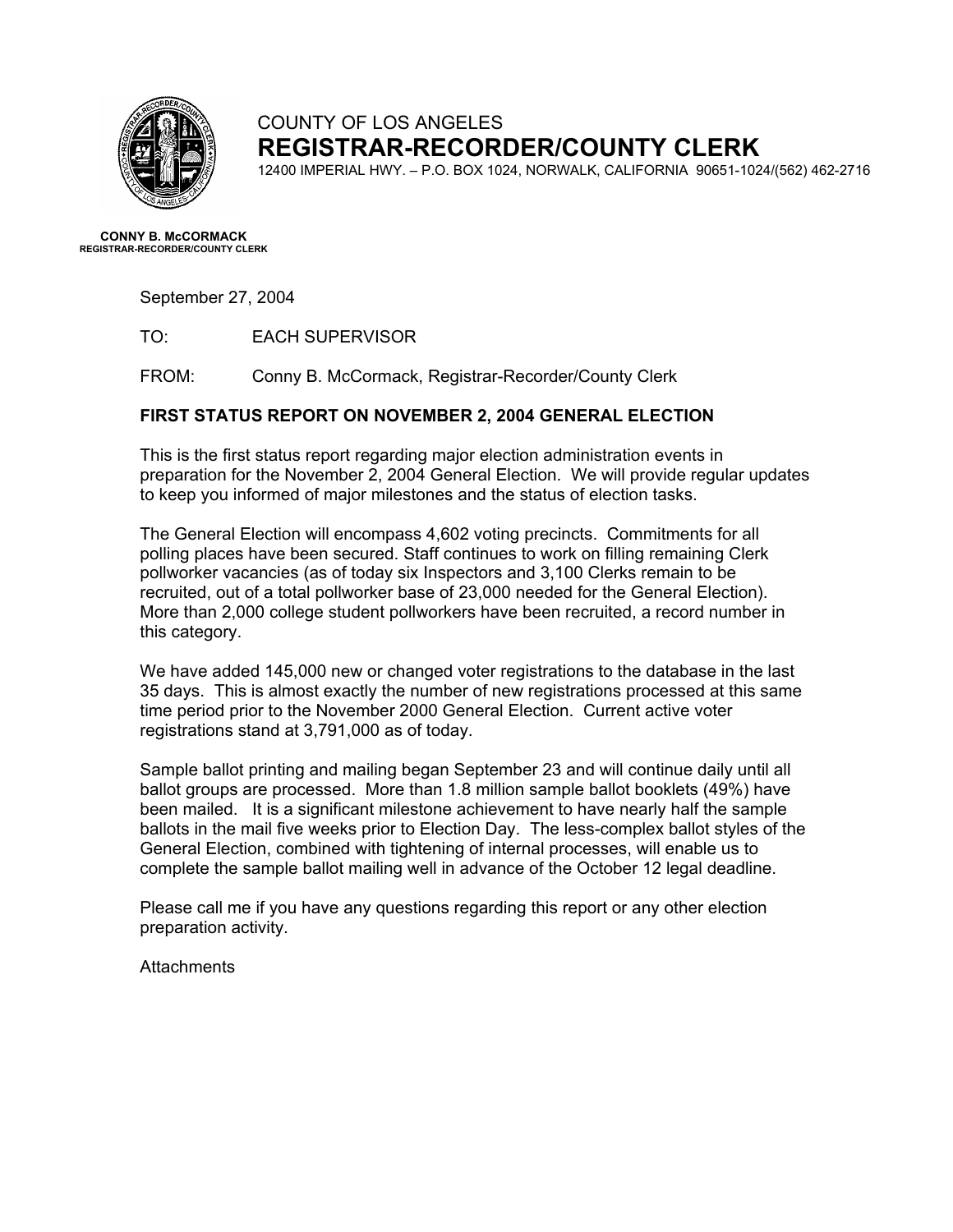

## COUNTY OF LOS ANGELES **REGISTRAR-RECORDER/COUNTY CLERK**

12400 IMPERIAL HWY. – P.O. BOX 1024, NORWALK, CALIFORNIA 90651-1024/(562) 462-2716

**CONNY B. McCORMACK REGISTRAR-RECORDER/COUNTY CLERK** 

September 27, 2004

TO: EACH SUPERVISOR

FROM: Conny B. McCormack, Registrar-Recorder/County Clerk

#### **FIRST STATUS REPORT ON NOVEMBER 2, 2004 GENERAL ELECTION**

This is the first status report regarding major election administration events in preparation for the November 2, 2004 General Election. We will provide regular updates to keep you informed of major milestones and the status of election tasks.

The General Election will encompass 4,602 voting precincts. Commitments for all polling places have been secured. Staff continues to work on filling remaining Clerk pollworker vacancies (as of today six Inspectors and 3,100 Clerks remain to be recruited, out of a total pollworker base of 23,000 needed for the General Election). More than 2,000 college student pollworkers have been recruited, a record number in this category.

We have added 145,000 new or changed voter registrations to the database in the last 35 days. This is almost exactly the number of new registrations processed at this same time period prior to the November 2000 General Election. Current active voter registrations stand at 3,791,000 as of today.

Sample ballot printing and mailing began September 23 and will continue daily until all ballot groups are processed. More than 1.8 million sample ballot booklets (49%) have been mailed. It is a significant milestone achievement to have nearly half the sample ballots in the mail five weeks prior to Election Day. The less-complex ballot styles of the General Election, combined with tightening of internal processes, will enable us to complete the sample ballot mailing well in advance of the October 12 legal deadline.

Please call me if you have any questions regarding this report or any other election preparation activity.

**Attachments**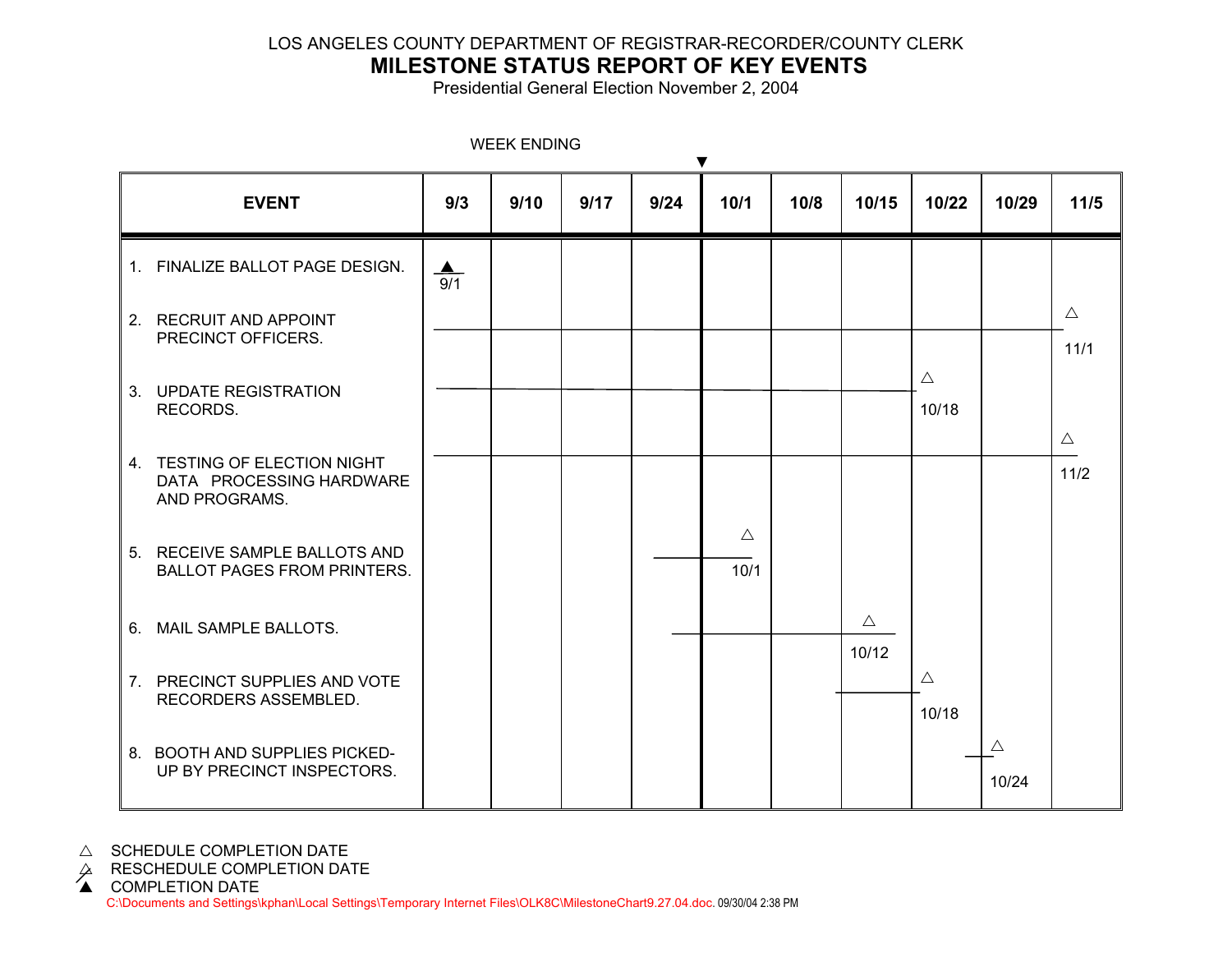### LOS ANGELES COUNTY DEPARTMENT OF REGISTRAR-RECORDER/COUNTY CLERK

# **MILESTONE STATUS REPORT OF KEY EVENTS**

Presidential General Election November 2, 2004

| <b><i>VIEEN ENDING</i></b><br>$\blacktriangledown$                        |  |                         |      |      |      |                     |      |                      |                      |                      |                       |
|---------------------------------------------------------------------------|--|-------------------------|------|------|------|---------------------|------|----------------------|----------------------|----------------------|-----------------------|
| <b>EVENT</b>                                                              |  | 9/3                     | 9/10 | 9/17 | 9/24 | 10/1                | 10/8 | 10/15                | 10/22                | 10/29                | $11/5$                |
| 1. FINALIZE BALLOT PAGE DESIGN.                                           |  | $\blacktriangle$<br>9/1 |      |      |      |                     |      |                      |                      |                      |                       |
| 2. RECRUIT AND APPOINT<br>PRECINCT OFFICERS.                              |  |                         |      |      |      |                     |      |                      |                      |                      | $\triangle$<br>11/1   |
| 3. UPDATE REGISTRATION<br>RECORDS.                                        |  |                         |      |      |      |                     |      |                      | $\triangle$<br>10/18 |                      |                       |
| 4. TESTING OF ELECTION NIGHT<br>DATA PROCESSING HARDWARE<br>AND PROGRAMS. |  |                         |      |      |      |                     |      |                      |                      |                      | $\triangle$<br>$11/2$ |
| 5. RECEIVE SAMPLE BALLOTS AND<br><b>BALLOT PAGES FROM PRINTERS.</b>       |  |                         |      |      |      | $\triangle$<br>10/1 |      |                      |                      |                      |                       |
| 6. MAIL SAMPLE BALLOTS.                                                   |  |                         |      |      |      |                     |      | $\triangle$<br>10/12 |                      |                      |                       |
| 7. PRECINCT SUPPLIES AND VOTE<br>RECORDERS ASSEMBLED.                     |  |                         |      |      |      |                     |      |                      | $\triangle$<br>10/18 |                      |                       |
| 8. BOOTH AND SUPPLIES PICKED-<br>UP BY PRECINCT INSPECTORS.               |  |                         |      |      |      |                     |      |                      |                      | $\triangle$<br>10/24 |                       |

WEEK ENDING

 $\triangle$  SCHEDULE COMPLETION DATE